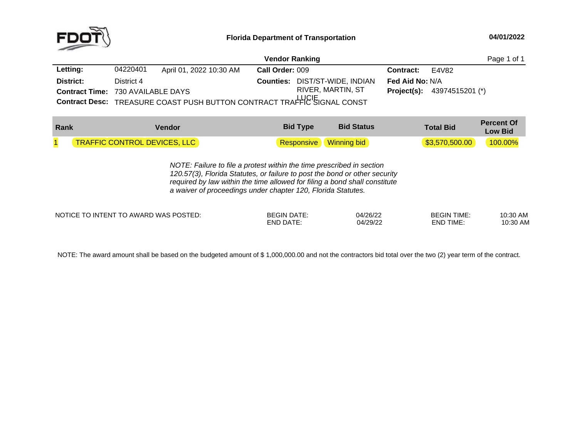

|                                          |            |                                                                         | <b>Vendor Ranking</b> |                                       |                        |                                      | Page 1 of 1 |
|------------------------------------------|------------|-------------------------------------------------------------------------|-----------------------|---------------------------------------|------------------------|--------------------------------------|-------------|
| Letting:                                 | 04220401   | April 01, 2022 10:30 AM                                                 | Call Order: 009       |                                       | <b>Contract:</b>       | E4V82                                |             |
| District:                                | District 4 |                                                                         |                       | <b>Counties: DIST/ST-WIDE, INDIAN</b> | <b>Fed Aid No: N/A</b> |                                      |             |
| <b>Contract Time: 730 AVAILABLE DAYS</b> |            | Contract Desc: TREASURE COAST PUSH BUTTON CONTRACT TRAFFIC SIGNAL CONST |                       | RIVER, MARTIN, ST                     |                        | <b>Project(s):</b> $43974515201$ (*) |             |

| Rank | Vendor                              | <b>Bid Type</b>               | <b>Bid Status</b> | <b>Total Bid</b> | <b>Percent Of</b><br>Low Bid |
|------|-------------------------------------|-------------------------------|-------------------|------------------|------------------------------|
|      | <b>TRAFFIC CONTROL DEVICES, LLC</b> | <b>Responsive</b> Winning bid |                   | \$3,570,500.00   | 100.00%                      |

*NOTE: Failure to file <sup>a</sup> protest within the time prescribed in section 120.57(3), Florida Statutes, or failure to post the bond or other security required by law within the time allowed for filing <sup>a</sup> bond shall constitute a waiver of proceedings under chapter 120, Florida Statutes.*

NOTICE TO INTENT TO AWARD WAS POSTED: BEGIN DATE: 04/26/22 BEGIN TIME: 10:30 AM

END DATE: 04/29/22 END TIME:

10:30 AM

NOTE: The award amount shall be based on the budgeted amount of \$ 1,000,000.00 and not the contractors bid total over the two (2) year term of the contract.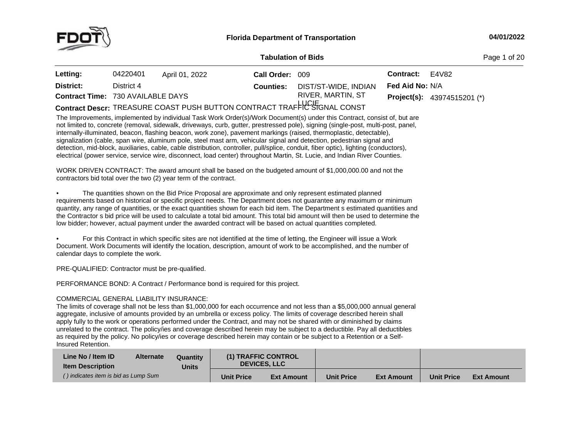

**of Bids** Page <sup>1</sup> of <sup>20</sup>

| Letting:                                 | 04220401   | April 01, 2022                                                           | Call Order: 009  |                      | Contract:              | E4V82                                |
|------------------------------------------|------------|--------------------------------------------------------------------------|------------------|----------------------|------------------------|--------------------------------------|
| District:                                | District 4 |                                                                          | <b>Counties:</b> | DIST/ST-WIDE, INDIAN | <b>Fed Aid No: N/A</b> |                                      |
| <b>Contract Time: 730 AVAILABLE DAYS</b> |            |                                                                          |                  | RIVER, MARTIN, ST    |                        | <b>Project(s):</b> $43974515201$ (*) |
|                                          |            | Contract Descr: TREASURE COAST PUSH BUTTON CONTRACT TRAFFIC STGNAL CONST |                  |                      |                        |                                      |
|                                          |            |                                                                          |                  |                      |                        |                                      |

The Improvements, implemented by individual Task Work Order(s)/Work Document(s) under this Contract, consist of, but are not limited to, concrete (removal, sidewalk, driveways, curb, gutter, prestressed pole), signing (single-post, multi-post, panel, internally-illuminated, beacon, flashing beacon, work zone), pavement markings (raised, thermoplastic, detectable), signalization (cable, span wire, aluminum pole, steel mast arm, vehicular signal and detection, pedestrian signal and<br>detection, mid block, auxiliaries, cable, cable distribution, contreller, pull/splice, conduit, fiber op detection, mid-block, auxiliaries, cable, cable distribution, controller, pull/splice, conduit, fiber optic), lighting (conductors), electrical (power service, service wire, disconnect, load center) throughout Martin, St. Lucie, and Indian River Counties.

WORK DRIVEN CONTRACT: The award amount shall be based on the budgeted amount of \$1,000,000.00 and not the<br>contractors hid total aver the two (2) year term of the eastract. contractors bid total over the two (2) year term of the contract.

•• The quantities shown on the Bid Price Proposal are approximate and only represent estimated planned requirements based on historical or specific project needs. The Department does not guarantee any maximum or minimum<br>quantity, any range of quantities, or the exect quantities shown for each hid item. The Department a esti quantity, any range of quantities, or the exact quantities shown for each bid item. The Department <sup>s</sup> estimated quantities and the Contractor <sup>s</sup> bid price will be used to calculate <sup>a</sup> total bid amount. This total bid amount will then be used to determine the low bidder; however, actual payment under the awarded contract will be based on actual quantities completed.

• For this Contract in which specific sites are not identified at the time of letting, the Engineer will issue <sup>a</sup> Work Document. Work Documents will identify the location, description, amount of work to be accomplished, and the number of calendar days to complete the work.

PRE-QUALIFIED: Contractor must be pre-qualified.

PERFORMANCE BOND: <sup>A</sup> Contract / Performance bond is required for this project.

# COMMERCIAL GENERAL LIABILITY INSURANCE:

The limits of coverage shall not be less than \$1,000,000 for each occurrence and not less than <sup>a</sup> \$5,000,000 annual general aggregate, inclusive of amounts provided by an umbrella or excess policy. The limits of coverage described herein shall apply fully to the work or operations performed under the Contract, and may not be shared with or diminished by claims unrelated to the contract. The policy/ies and coverage described herein may be subject to <sup>a</sup> deductible. Pay all deductibles as required by the policy. No policy/ies or coverage described herein may contain or be subject to a Retention or a Self-<br>Insured Retention. Insured Retention.

| Line No / Item ID<br><b>Item Description</b> | <b>Alternate</b><br>Quantity<br><b>Units</b> |                   | (1) TRAFFIC CONTROL<br><b>DEVICES, LLC</b> |                   |                   |                   |                   |
|----------------------------------------------|----------------------------------------------|-------------------|--------------------------------------------|-------------------|-------------------|-------------------|-------------------|
| () indicates item is bid as Lump Sum         |                                              | <b>Unit Price</b> | <b>Ext Amount</b>                          | <b>Unit Price</b> | <b>Ext Amount</b> | <b>Unit Price</b> | <b>Ext Amount</b> |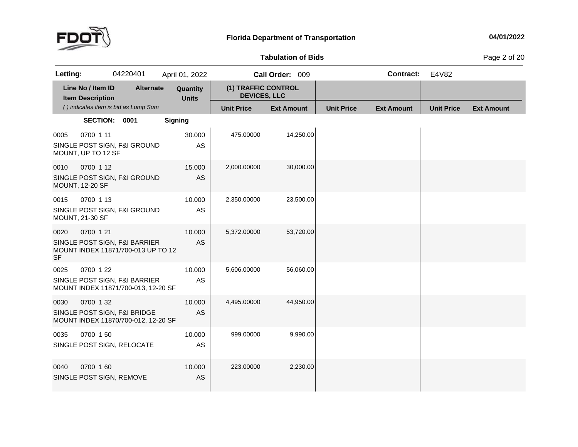

**of Bids** Page <sup>2</sup> of <sup>20</sup>

| Letting:          |                                              | 04220401                                                             | April 01, 2022           |                                            | Call Order: 009   |                   | <b>Contract:</b>  | E4V82             |                   |
|-------------------|----------------------------------------------|----------------------------------------------------------------------|--------------------------|--------------------------------------------|-------------------|-------------------|-------------------|-------------------|-------------------|
|                   | Line No / Item ID<br><b>Item Description</b> | <b>Alternate</b>                                                     | Quantity<br><b>Units</b> | (1) TRAFFIC CONTROL<br><b>DEVICES, LLC</b> |                   |                   |                   |                   |                   |
|                   |                                              | () indicates item is bid as Lump Sum                                 |                          | <b>Unit Price</b>                          | <b>Ext Amount</b> | <b>Unit Price</b> | <b>Ext Amount</b> | <b>Unit Price</b> | <b>Ext Amount</b> |
|                   | SECTION: 0001                                |                                                                      | <b>Signing</b>           |                                            |                   |                   |                   |                   |                   |
| 0005              | 0700 1 11<br>MOUNT, UP TO 12 SF              | SINGLE POST SIGN, F&I GROUND                                         | 30.000<br>AS             | 475.00000                                  | 14,250.00         |                   |                   |                   |                   |
| 0010              | 0700 1 12<br><b>MOUNT, 12-20 SF</b>          | SINGLE POST SIGN, F&I GROUND                                         | 15.000<br>AS             | 2,000.00000                                | 30,000.00         |                   |                   |                   |                   |
| 0015              | 0700 1 13<br><b>MOUNT, 21-30 SF</b>          | SINGLE POST SIGN, F&I GROUND                                         | 10.000<br>AS             | 2,350.00000                                | 23,500.00         |                   |                   |                   |                   |
| 0020<br><b>SF</b> | 0700 1 21                                    | SINGLE POST SIGN, F&I BARRIER<br>MOUNT INDEX 11871/700-013 UP TO 12  | 10.000<br>AS             | 5,372.00000                                | 53,720.00         |                   |                   |                   |                   |
| 0025              | 0700 1 22                                    | SINGLE POST SIGN, F&I BARRIER<br>MOUNT INDEX 11871/700-013, 12-20 SF | 10.000<br>AS             | 5,606.00000                                | 56,060.00         |                   |                   |                   |                   |
| 0030              | 0700 132                                     | SINGLE POST SIGN, F&I BRIDGE<br>MOUNT INDEX 11870/700-012, 12-20 SF  | 10.000<br><b>AS</b>      | 4,495.00000                                | 44,950.00         |                   |                   |                   |                   |
| 0035              | 0700 150                                     | SINGLE POST SIGN, RELOCATE                                           | 10.000<br>AS             | 999.00000                                  | 9,990.00          |                   |                   |                   |                   |
| 0040              | 0700 160<br>SINGLE POST SIGN, REMOVE         |                                                                      | 10.000<br>AS             | 223.00000                                  | 2,230.00          |                   |                   |                   |                   |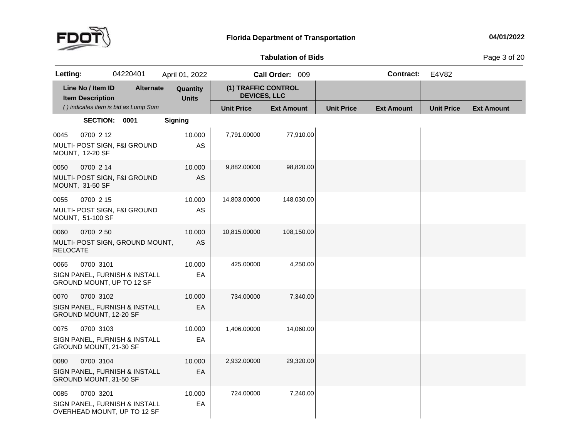

## **Tabulation**

**of Bids** Page <sup>3</sup> of <sup>20</sup>

| Letting:                |                                              | 04220401                                                     | April 01, 2022           |                                            | Call Order: 009   |                   | <b>Contract:</b>  | E4V82             |                   |
|-------------------------|----------------------------------------------|--------------------------------------------------------------|--------------------------|--------------------------------------------|-------------------|-------------------|-------------------|-------------------|-------------------|
|                         | Line No / Item ID<br><b>Item Description</b> | <b>Alternate</b>                                             | Quantity<br><b>Units</b> | (1) TRAFFIC CONTROL<br><b>DEVICES, LLC</b> |                   |                   |                   |                   |                   |
|                         |                                              | () indicates item is bid as Lump Sum                         |                          | <b>Unit Price</b>                          | <b>Ext Amount</b> | <b>Unit Price</b> | <b>Ext Amount</b> | <b>Unit Price</b> | <b>Ext Amount</b> |
|                         | <b>SECTION:</b>                              | 0001                                                         | <b>Signing</b>           |                                            |                   |                   |                   |                   |                   |
| 0045                    | 0700 2 12<br><b>MOUNT, 12-20 SF</b>          | MULTI- POST SIGN, F&I GROUND                                 | 10.000<br>AS             | 7,791.00000                                | 77,910.00         |                   |                   |                   |                   |
| 0050                    | 0700 2 14<br>MOUNT, 31-50 SF                 | MULTI- POST SIGN, F&I GROUND                                 | 10.000<br>AS             | 9,882.00000                                | 98,820.00         |                   |                   |                   |                   |
| 0055                    | 0700 2 15<br>MOUNT, 51-100 SF                | MULTI- POST SIGN, F&I GROUND                                 | 10.000<br>AS             | 14,803.00000                               | 148,030.00        |                   |                   |                   |                   |
| 0060<br><b>RELOCATE</b> | 0700 2 50                                    | MULTI- POST SIGN, GROUND MOUNT,                              | 10.000<br><b>AS</b>      | 10,815.00000                               | 108,150.00        |                   |                   |                   |                   |
| 0065                    | 0700 3101                                    | SIGN PANEL, FURNISH & INSTALL<br>GROUND MOUNT, UP TO 12 SF   | 10.000<br>EA             | 425.00000                                  | 4,250.00          |                   |                   |                   |                   |
| 0070                    | 0700 3102<br>GROUND MOUNT, 12-20 SF          | SIGN PANEL. FURNISH & INSTALL                                | 10.000<br>EA             | 734.00000                                  | 7,340.00          |                   |                   |                   |                   |
| 0075                    | 0700 3103<br>GROUND MOUNT, 21-30 SF          | SIGN PANEL, FURNISH & INSTALL                                | 10.000<br>EA             | 1,406.00000                                | 14,060.00         |                   |                   |                   |                   |
| 0080                    | 0700 3104<br>GROUND MOUNT, 31-50 SF          | SIGN PANEL, FURNISH & INSTALL                                | 10.000<br>EA             | 2,932.00000                                | 29,320.00         |                   |                   |                   |                   |
| 0085                    | 0700 3201                                    | SIGN PANEL, FURNISH & INSTALL<br>OVERHEAD MOUNT, UP TO 12 SF | 10.000<br>EA             | 724.00000                                  | 7,240.00          |                   |                   |                   |                   |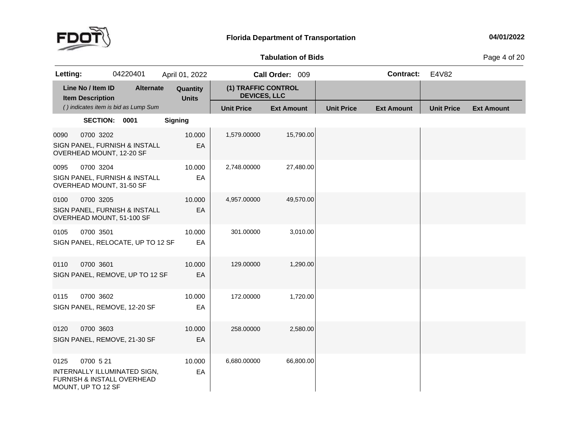

## **Tabulation**

**of Bids** Page <sup>4</sup> of <sup>20</sup>

| Letting:                                     | 04220401                                                                | April 01, 2022           |                                            | Call Order: 009   |                   | <b>Contract:</b>  | E4V82             |                   |
|----------------------------------------------|-------------------------------------------------------------------------|--------------------------|--------------------------------------------|-------------------|-------------------|-------------------|-------------------|-------------------|
| Line No / Item ID<br><b>Item Description</b> | <b>Alternate</b>                                                        | Quantity<br><b>Units</b> | (1) TRAFFIC CONTROL<br><b>DEVICES, LLC</b> |                   |                   |                   |                   |                   |
|                                              | () indicates item is bid as Lump Sum                                    |                          | <b>Unit Price</b>                          | <b>Ext Amount</b> | <b>Unit Price</b> | <b>Ext Amount</b> | <b>Unit Price</b> | <b>Ext Amount</b> |
|                                              | SECTION: 0001                                                           | <b>Signing</b>           |                                            |                   |                   |                   |                   |                   |
| 0090                                         | 0700 3202<br>SIGN PANEL, FURNISH & INSTALL<br>OVERHEAD MOUNT, 12-20 SF  | 10.000<br>EA             | 1,579.00000                                | 15,790.00         |                   |                   |                   |                   |
| 0095                                         | 0700 3204<br>SIGN PANEL, FURNISH & INSTALL<br>OVERHEAD MOUNT, 31-50 SF  | 10.000<br>EA             | 2,748.00000                                | 27,480.00         |                   |                   |                   |                   |
| 0100                                         | 0700 3205<br>SIGN PANEL, FURNISH & INSTALL<br>OVERHEAD MOUNT, 51-100 SF | 10.000<br>EA             | 4,957.00000                                | 49,570.00         |                   |                   |                   |                   |
| 0105                                         | 0700 3501<br>SIGN PANEL, RELOCATE, UP TO 12 SF                          | 10.000<br>EA             | 301.00000                                  | 3,010.00          |                   |                   |                   |                   |
| 0110                                         | 0700 3601<br>SIGN PANEL, REMOVE, UP TO 12 SF                            | 10.000<br>EA             | 129.00000                                  | 1,290.00          |                   |                   |                   |                   |
| 0115                                         | 0700 3602<br>SIGN PANEL, REMOVE, 12-20 SF                               | 10.000<br>EA             | 172.00000                                  | 1,720.00          |                   |                   |                   |                   |
| 0120                                         | 0700 3603<br>SIGN PANEL, REMOVE, 21-30 SF                               | 10.000<br>EA             | 258.00000                                  | 2,580.00          |                   |                   |                   |                   |
| 0700 5 21<br>0125<br>MOUNT, UP TO 12 SF      | INTERNALLY ILLUMINATED SIGN,<br>FURNISH & INSTALL OVERHEAD              | 10.000<br>EA             | 6,680.00000                                | 66,800.00         |                   |                   |                   |                   |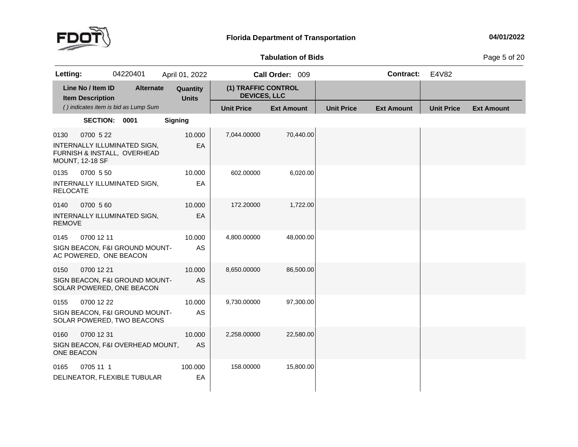

## **Tabulation**

**of Bids** Page <sup>5</sup> of <sup>20</sup>

| Letting:                  |                                              | 04220401                                                     | April 01, 2022           |                                            | Call Order: 009   |                   | <b>Contract:</b>  | E4V82             |                   |
|---------------------------|----------------------------------------------|--------------------------------------------------------------|--------------------------|--------------------------------------------|-------------------|-------------------|-------------------|-------------------|-------------------|
|                           | Line No / Item ID<br><b>Item Description</b> | <b>Alternate</b>                                             | Quantity<br><b>Units</b> | (1) TRAFFIC CONTROL<br><b>DEVICES, LLC</b> |                   |                   |                   |                   |                   |
|                           |                                              | () indicates item is bid as Lump Sum                         |                          | <b>Unit Price</b>                          | <b>Ext Amount</b> | <b>Unit Price</b> | <b>Ext Amount</b> | <b>Unit Price</b> | <b>Ext Amount</b> |
|                           | SECTION: 0001                                |                                                              | <b>Signing</b>           |                                            |                   |                   |                   |                   |                   |
| 0130                      | 0700 5 22<br><b>MOUNT, 12-18 SF</b>          | INTERNALLY ILLUMINATED SIGN,<br>FURNISH & INSTALL, OVERHEAD  | 10.000<br>EA             | 7,044.00000                                | 70,440.00         |                   |                   |                   |                   |
| 0135<br><b>RELOCATE</b>   | 0700 5 50                                    | INTERNALLY ILLUMINATED SIGN,                                 | 10.000<br>EA             | 602.00000                                  | 6,020.00          |                   |                   |                   |                   |
| 0140<br><b>REMOVE</b>     | 0700 560                                     | INTERNALLY ILLUMINATED SIGN,                                 | 10.000<br>EA             | 172.20000                                  | 1,722.00          |                   |                   |                   |                   |
| 0145                      | 0700 12 11<br>AC POWERED, ONE BEACON         | SIGN BEACON, F&I GROUND MOUNT-                               | 10.000<br>AS             | 4,800.00000                                | 48,000.00         |                   |                   |                   |                   |
| 0150                      | 0700 12 21                                   | SIGN BEACON, F&I GROUND MOUNT-<br>SOLAR POWERED, ONE BEACON  | 10.000<br>AS             | 8,650.00000                                | 86,500.00         |                   |                   |                   |                   |
| 0155                      | 0700 12 22                                   | SIGN BEACON, F&I GROUND MOUNT-<br>SOLAR POWERED, TWO BEACONS | 10.000<br>AS             | 9,730.00000                                | 97,300.00         |                   |                   |                   |                   |
| 0160<br><b>ONE BEACON</b> | 0700 12 31                                   | SIGN BEACON, F&I OVERHEAD MOUNT,                             | 10.000<br>AS             | 2,258.00000                                | 22,580.00         |                   |                   |                   |                   |
| 0165                      | 0705 11 1                                    | DELINEATOR, FLEXIBLE TUBULAR                                 | 100.000<br>EA            | 158.00000                                  | 15,800.00         |                   |                   |                   |                   |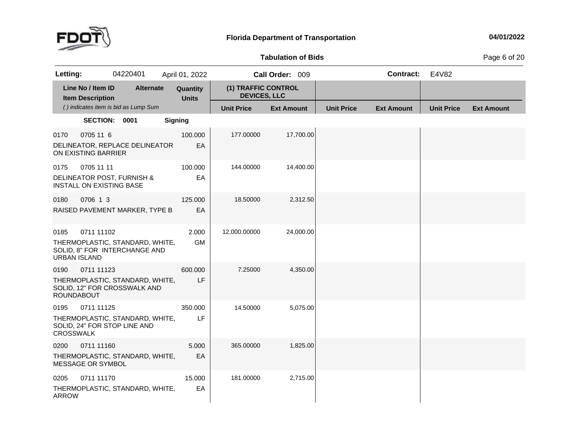

## **Tabulation**

**of Bids** Page <sup>6</sup> of <sup>20</sup>

| Letting:                    |                                                                             | 04220401                                                         | April 01, 2022           |                                            | Call Order: 009   |                   | <b>Contract:</b>  | E4V82             |                   |
|-----------------------------|-----------------------------------------------------------------------------|------------------------------------------------------------------|--------------------------|--------------------------------------------|-------------------|-------------------|-------------------|-------------------|-------------------|
|                             | Line No / Item ID<br><b>Item Description</b>                                | <b>Alternate</b>                                                 | Quantity<br><b>Units</b> | (1) TRAFFIC CONTROL<br><b>DEVICES, LLC</b> |                   |                   |                   |                   |                   |
|                             |                                                                             | () indicates item is bid as Lump Sum                             |                          | <b>Unit Price</b>                          | <b>Ext Amount</b> | <b>Unit Price</b> | <b>Ext Amount</b> | <b>Unit Price</b> | <b>Ext Amount</b> |
|                             | SECTION: 0001                                                               |                                                                  | <b>Signing</b>           |                                            |                   |                   |                   |                   |                   |
| 0170                        | 0705 11 6<br>ON EXISTING BARRIER                                            | DELINEATOR, REPLACE DELINEATOR                                   | 100.000<br>EA            | 177.00000                                  | 17,700.00         |                   |                   |                   |                   |
| 0175                        | 0705 11 11<br>DELINEATOR POST, FURNISH &<br><b>INSTALL ON EXISTING BASE</b> |                                                                  | 100.000<br>EA            | 144.00000                                  | 14,400.00         |                   |                   |                   |                   |
| 0180                        | 0706 1 3                                                                    | RAISED PAVEMENT MARKER, TYPE B                                   | 125,000<br>EA            | 18.50000                                   | 2,312.50          |                   |                   |                   |                   |
| 0185<br><b>URBAN ISLAND</b> | 0711 11102                                                                  | THERMOPLASTIC, STANDARD, WHITE,<br>SOLID, 8" FOR INTERCHANGE AND | 2.000<br>GM              | 12,000.00000                               | 24,000.00         |                   |                   |                   |                   |
| 0190<br><b>ROUNDABOUT</b>   | 0711 11123                                                                  | THERMOPLASTIC, STANDARD, WHITE,<br>SOLID, 12" FOR CROSSWALK AND  | 600.000<br>LF            | 7.25000                                    | 4,350.00          |                   |                   |                   |                   |
| 0195<br><b>CROSSWALK</b>    | 0711 11125<br>SOLID, 24" FOR STOP LINE AND                                  | THERMOPLASTIC, STANDARD, WHITE,                                  | 350,000<br>LF            | 14.50000                                   | 5,075.00          |                   |                   |                   |                   |
| 0200                        | 0711 11160<br>MESSAGE OR SYMBOL                                             | THERMOPLASTIC, STANDARD, WHITE,                                  | 5.000<br>EA              | 365.00000                                  | 1,825.00          |                   |                   |                   |                   |
| 0205<br><b>ARROW</b>        | 0711 11170                                                                  | THERMOPLASTIC, STANDARD, WHITE,                                  | 15.000<br>EA             | 181.00000                                  | 2,715.00          |                   |                   |                   |                   |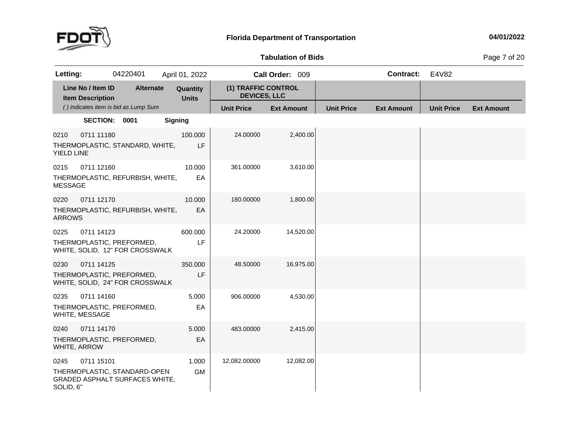

## **Tabulation**

**of Bids** Page <sup>7</sup> of <sup>20</sup>

| Letting:                                     | 04220401                                                              | April 01, 2022           |                                            | Call Order: 009   |                   | <b>Contract:</b>  | E4V82             |                   |
|----------------------------------------------|-----------------------------------------------------------------------|--------------------------|--------------------------------------------|-------------------|-------------------|-------------------|-------------------|-------------------|
| Line No / Item ID<br><b>Item Description</b> | <b>Alternate</b>                                                      | Quantity<br><b>Units</b> | (1) TRAFFIC CONTROL<br><b>DEVICES, LLC</b> |                   |                   |                   |                   |                   |
|                                              | () indicates item is bid as Lump Sum                                  |                          | <b>Unit Price</b>                          | <b>Ext Amount</b> | <b>Unit Price</b> | <b>Ext Amount</b> | <b>Unit Price</b> | <b>Ext Amount</b> |
|                                              | SECTION: 0001                                                         | <b>Signing</b>           |                                            |                   |                   |                   |                   |                   |
| 0711 11180<br>0210<br>YIELD LINE             | THERMOPLASTIC, STANDARD, WHITE,                                       | 100.000<br>LF            | 24.00000                                   | 2,400.00          |                   |                   |                   |                   |
| 0711 12160<br>0215<br><b>MESSAGE</b>         | THERMOPLASTIC, REFURBISH, WHITE,                                      | 10.000<br>EA             | 361.00000                                  | 3,610.00          |                   |                   |                   |                   |
| 0220<br>0711 12170<br><b>ARROWS</b>          | THERMOPLASTIC, REFURBISH, WHITE,                                      | 10.000<br>EA             | 180.00000                                  | 1,800.00          |                   |                   |                   |                   |
| 0711 14123<br>0225                           | THERMOPLASTIC, PREFORMED,<br>WHITE, SOLID, 12" FOR CROSSWALK          | 600.000<br>LF            | 24.20000                                   | 14,520.00         |                   |                   |                   |                   |
| 0711 14125<br>0230                           | THERMOPLASTIC, PREFORMED,<br>WHITE, SOLID, 24" FOR CROSSWALK          | 350,000<br>LF            | 48.50000                                   | 16,975.00         |                   |                   |                   |                   |
| 0235<br>0711 14160<br>WHITE, MESSAGE         | THERMOPLASTIC, PREFORMED,                                             | 5.000<br>EA              | 906.00000                                  | 4,530.00          |                   |                   |                   |                   |
| 0711 14170<br>0240<br>WHITE, ARROW           | THERMOPLASTIC, PREFORMED,                                             | 5.000<br>EA              | 483.00000                                  | 2,415.00          |                   |                   |                   |                   |
| 0711 15101<br>0245<br>SOLID, 6"              | THERMOPLASTIC, STANDARD-OPEN<br><b>GRADED ASPHALT SURFACES WHITE,</b> | 1.000<br>GM              | 12,082.00000                               | 12,082.00         |                   |                   |                   |                   |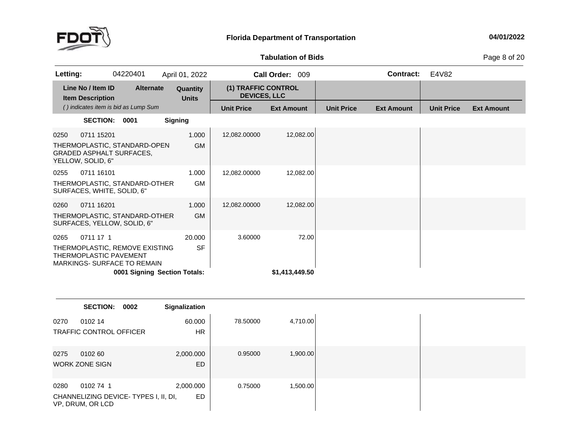

#### **Tabulation**

**of Bids** Page <sup>8</sup> of <sup>20</sup>

| Letting: |                                                                    | 04220401                                                     | April 01, 2022               |                                            | <b>Call Order:</b><br>009 |                   | <b>Contract:</b>  | E4V82             |                   |
|----------|--------------------------------------------------------------------|--------------------------------------------------------------|------------------------------|--------------------------------------------|---------------------------|-------------------|-------------------|-------------------|-------------------|
|          | Line No / Item ID<br><b>Item Description</b>                       | <b>Alternate</b>                                             | Quantity<br><b>Units</b>     | (1) TRAFFIC CONTROL<br><b>DEVICES, LLC</b> |                           |                   |                   |                   |                   |
|          |                                                                    | () indicates item is bid as Lump Sum                         |                              | <b>Unit Price</b>                          | <b>Ext Amount</b>         | <b>Unit Price</b> | <b>Ext Amount</b> | <b>Unit Price</b> | <b>Ext Amount</b> |
|          | <b>SECTION:</b>                                                    | 0001                                                         | <b>Signing</b>               |                                            |                           |                   |                   |                   |                   |
| 0250     | 0711 15201<br><b>GRADED ASPHALT SURFACES.</b><br>YELLOW, SOLID, 6" | THERMOPLASTIC, STANDARD-OPEN                                 | 1.000<br><b>GM</b>           | 12,082.00000                               | 12,082.00                 |                   |                   |                   |                   |
| 0255     | 0711 16101<br>SURFACES, WHITE, SOLID, 6"                           | THERMOPLASTIC, STANDARD-OTHER                                | 1.000<br><b>GM</b>           | 12,082.00000                               | 12,082.00                 |                   |                   |                   |                   |
| 0260     | 0711 16201<br>SURFACES, YELLOW, SOLID, 6"                          | THERMOPLASTIC, STANDARD-OTHER                                | 1.000<br><b>GM</b>           | 12,082.00000                               | 12,082.00                 |                   |                   |                   |                   |
| 0265     | 0711 17 1<br>THERMOPLASTIC PAVEMENT                                | THERMOPLASTIC, REMOVE EXISTING<br>MARKINGS-SURFACE TO REMAIN | 20.000<br><b>SF</b>          | 3.60000                                    | 72.00                     |                   |                   |                   |                   |
|          |                                                                    |                                                              | 0001 Signing Section Totals: |                                            | \$1,413,449.50            |                   |                   |                   |                   |

|      | <b>SECTION:</b>                                          | 0002 | Signalization |          |          |
|------|----------------------------------------------------------|------|---------------|----------|----------|
| 0270 | 0102 14                                                  |      | 60.000        | 78.50000 | 4,710.00 |
|      | <b>TRAFFIC CONTROL OFFICER</b>                           |      | <b>HR</b>     |          |          |
| 0275 | 0102 60                                                  |      | 2,000.000     | 0.95000  | 1,900.00 |
|      | <b>WORK ZONE SIGN</b>                                    |      | <b>ED</b>     |          |          |
| 0280 | 0102741                                                  |      | 2,000.000     | 0.75000  | 1,500.00 |
|      | CHANNELIZING DEVICE-TYPES I, II, DI,<br>VP, DRUM, OR LCD |      | ED            |          |          |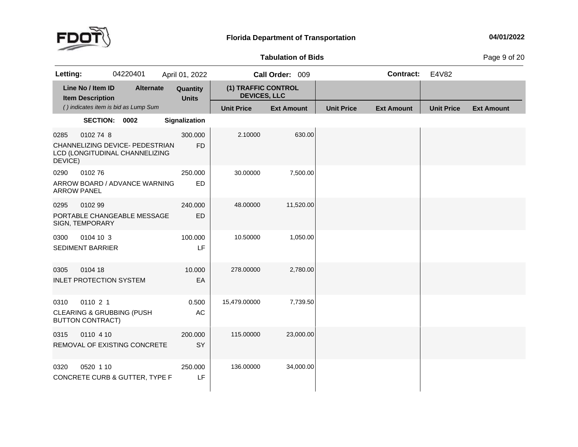

## **Tabulation**

**of Bids** Page <sup>9</sup> of <sup>20</sup>

| Letting:                   |                                                                             | 04220401                                                          | April 01, 2022           |                                            | Call Order: 009   |                   | <b>Contract:</b>  | E4V82             |                   |
|----------------------------|-----------------------------------------------------------------------------|-------------------------------------------------------------------|--------------------------|--------------------------------------------|-------------------|-------------------|-------------------|-------------------|-------------------|
|                            | Line No / Item ID<br><b>Item Description</b>                                | <b>Alternate</b>                                                  | Quantity<br><b>Units</b> | (1) TRAFFIC CONTROL<br><b>DEVICES, LLC</b> |                   |                   |                   |                   |                   |
|                            |                                                                             | () indicates item is bid as Lump Sum                              |                          | <b>Unit Price</b>                          | <b>Ext Amount</b> | <b>Unit Price</b> | <b>Ext Amount</b> | <b>Unit Price</b> | <b>Ext Amount</b> |
|                            | SECTION: 0002                                                               |                                                                   | Signalization            |                                            |                   |                   |                   |                   |                   |
| 0285<br>DEVICE)            | 0102 74 8                                                                   | CHANNELIZING DEVICE- PEDESTRIAN<br>LCD (LONGITUDINAL CHANNELIZING | 300.000<br><b>FD</b>     | 2.10000                                    | 630.00            |                   |                   |                   |                   |
| 0290<br><b>ARROW PANEL</b> | 010276                                                                      | ARROW BOARD / ADVANCE WARNING                                     | 250.000<br>ED            | 30.00000                                   | 7,500.00          |                   |                   |                   |                   |
| 0295                       | 0102 99<br>SIGN, TEMPORARY                                                  | PORTABLE CHANGEABLE MESSAGE                                       | 240.000<br>ED            | 48.00000                                   | 11,520.00         |                   |                   |                   |                   |
| 0300                       | 0104 10 3<br><b>SEDIMENT BARRIER</b>                                        |                                                                   | 100.000<br>LF            | 10.50000                                   | 1,050.00          |                   |                   |                   |                   |
| 0305                       | 0104 18<br><b>INLET PROTECTION SYSTEM</b>                                   |                                                                   | 10.000<br>EA             | 278.00000                                  | 2,780.00          |                   |                   |                   |                   |
| 0310                       | 0110 2 1<br><b>CLEARING &amp; GRUBBING (PUSH</b><br><b>BUTTON CONTRACT)</b> |                                                                   | 0.500<br>AC              | 15,479.00000                               | 7,739.50          |                   |                   |                   |                   |
| 0315                       | 0110 4 10                                                                   | REMOVAL OF EXISTING CONCRETE                                      | 200.000<br>SY            | 115.00000                                  | 23,000.00         |                   |                   |                   |                   |
| 0320                       | 0520 1 10                                                                   | CONCRETE CURB & GUTTER, TYPE F                                    | 250.000<br>LF            | 136.00000                                  | 34,000.00         |                   |                   |                   |                   |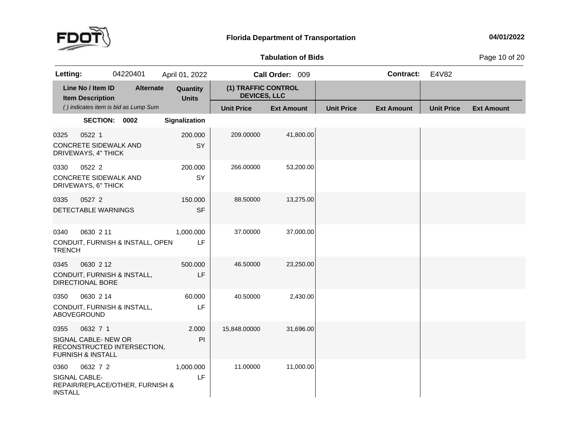

**of Bids** Page <sup>10</sup> of <sup>20</sup>

| Letting:                                |                                                                     | 04220401                             | April 01, 2022           |                                            | Call Order: 009   |                   | <b>Contract:</b>  | E4V82             |                   |
|-----------------------------------------|---------------------------------------------------------------------|--------------------------------------|--------------------------|--------------------------------------------|-------------------|-------------------|-------------------|-------------------|-------------------|
|                                         | Line No / Item ID<br><b>Item Description</b>                        | <b>Alternate</b>                     | Quantity<br><b>Units</b> | (1) TRAFFIC CONTROL<br><b>DEVICES, LLC</b> |                   |                   |                   |                   |                   |
|                                         |                                                                     | () indicates item is bid as Lump Sum |                          | <b>Unit Price</b>                          | <b>Ext Amount</b> | <b>Unit Price</b> | <b>Ext Amount</b> | <b>Unit Price</b> | <b>Ext Amount</b> |
|                                         | SECTION: 0002                                                       |                                      | Signalization            |                                            |                   |                   |                   |                   |                   |
| 0325                                    | 0522 1<br><b>CONCRETE SIDEWALK AND</b><br>DRIVEWAYS, 4" THICK       |                                      | 200.000<br>SY            | 209.00000                                  | 41,800.00         |                   |                   |                   |                   |
| 0330                                    | 0522 2<br>CONCRETE SIDEWALK AND<br>DRIVEWAYS, 6" THICK              |                                      | 200.000<br>SY            | 266.00000                                  | 53,200.00         |                   |                   |                   |                   |
| 0335                                    | 0527 2<br><b>DETECTABLE WARNINGS</b>                                |                                      | 150.000<br><b>SF</b>     | 88.50000                                   | 13,275.00         |                   |                   |                   |                   |
| 0340<br><b>TRENCH</b>                   | 0630 2 11                                                           | CONDUIT, FURNISH & INSTALL, OPEN     | 1,000.000<br>LF          | 37.00000                                   | 37,000.00         |                   |                   |                   |                   |
| 0345                                    | 0630 2 12<br>CONDUIT, FURNISH & INSTALL,<br><b>DIRECTIONAL BORE</b> |                                      | 500.000<br>LF            | 46.50000                                   | 23,250.00         |                   |                   |                   |                   |
| 0350                                    | 0630 2 14<br>CONDUIT, FURNISH & INSTALL,<br>ABOVEGROUND             |                                      | 60.000<br>LF             | 40.50000                                   | 2,430.00          |                   |                   |                   |                   |
| 0355                                    | 0632 7 1<br>SIGNAL CABLE- NEW OR<br><b>FURNISH &amp; INSTALL</b>    | RECONSTRUCTED INTERSECTION,          | 2.000<br>PI              | 15,848.00000                               | 31,696.00         |                   |                   |                   |                   |
| 0360<br>SIGNAL CABLE-<br><b>INSTALL</b> | 0632 7 2                                                            | REPAIR/REPLACE/OTHER, FURNISH &      | 1,000.000<br>LF          | 11.00000                                   | 11,000.00         |                   |                   |                   |                   |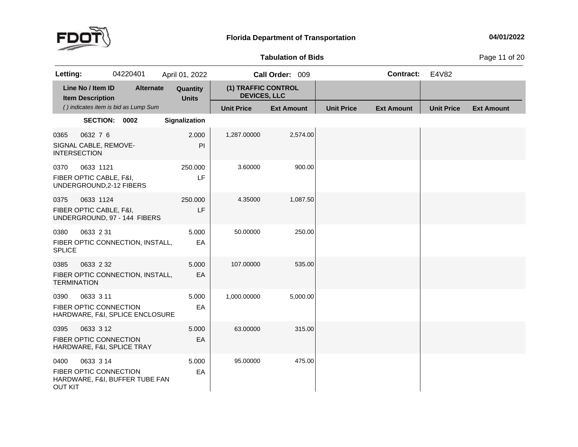

## **Tabulation**

**of Bids** Page <sup>11</sup> of <sup>20</sup>

| Letting:                    |                                                                   | 04220401                             | April 01, 2022           |                                            | Call Order: 009   |                   | <b>Contract:</b>  | E4V82             |                   |
|-----------------------------|-------------------------------------------------------------------|--------------------------------------|--------------------------|--------------------------------------------|-------------------|-------------------|-------------------|-------------------|-------------------|
|                             | Line No / Item ID<br><b>Item Description</b>                      | <b>Alternate</b>                     | Quantity<br><b>Units</b> | (1) TRAFFIC CONTROL<br><b>DEVICES, LLC</b> |                   |                   |                   |                   |                   |
|                             |                                                                   | () indicates item is bid as Lump Sum |                          | <b>Unit Price</b>                          | <b>Ext Amount</b> | <b>Unit Price</b> | <b>Ext Amount</b> | <b>Unit Price</b> | <b>Ext Amount</b> |
|                             | SECTION: 0002                                                     |                                      | Signalization            |                                            |                   |                   |                   |                   |                   |
| 0365<br><b>INTERSECTION</b> | 0632 7 6<br>SIGNAL CABLE, REMOVE-                                 |                                      | 2.000<br>PI              | 1,287.00000                                | 2,574.00          |                   |                   |                   |                   |
| 0370                        | 0633 1121<br>FIBER OPTIC CABLE, F&I,<br>UNDERGROUND, 2-12 FIBERS  |                                      | 250.000<br>LF            | 3.60000                                    | 900.00            |                   |                   |                   |                   |
| 0375                        | 0633 1124<br>FIBER OPTIC CABLE, F&I,                              | UNDERGROUND, 97 - 144 FIBERS         | 250.000<br>LF            | 4.35000                                    | 1,087.50          |                   |                   |                   |                   |
| 0380<br><b>SPLICE</b>       | 0633 2 31                                                         | FIBER OPTIC CONNECTION, INSTALL,     | 5.000<br>EA              | 50.00000                                   | 250.00            |                   |                   |                   |                   |
| 0385<br><b>TERMINATION</b>  | 0633 2 32                                                         | FIBER OPTIC CONNECTION, INSTALL,     | 5.000<br>EA              | 107.00000                                  | 535.00            |                   |                   |                   |                   |
| 0390                        | 0633 3 11<br>FIBER OPTIC CONNECTION                               | HARDWARE, F&I, SPLICE ENCLOSURE      | 5.000<br>EA              | 1,000.00000                                | 5,000.00          |                   |                   |                   |                   |
| 0395                        | 0633 3 12<br>FIBER OPTIC CONNECTION<br>HARDWARE, F&I, SPLICE TRAY |                                      | 5.000<br>EA              | 63.00000                                   | 315.00            |                   |                   |                   |                   |
| 0400<br><b>OUT KIT</b>      | 0633 3 14<br>FIBER OPTIC CONNECTION                               | HARDWARE, F&I, BUFFER TUBE FAN       | 5.000<br>EA              | 95.00000                                   | 475.00            |                   |                   |                   |                   |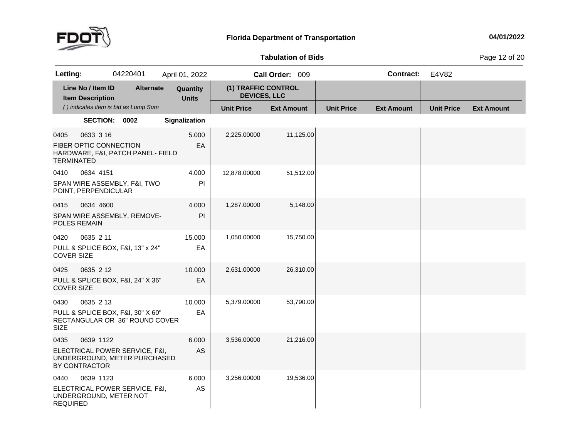

## **Tabulation**

**of Bids** Page <sup>12</sup> of <sup>20</sup>

| Letting:                  |                                              | 04220401                                                            | April 01, 2022           |                                            | Call Order: 009   |                   | <b>Contract:</b>  | E4V82             |                   |
|---------------------------|----------------------------------------------|---------------------------------------------------------------------|--------------------------|--------------------------------------------|-------------------|-------------------|-------------------|-------------------|-------------------|
|                           | Line No / Item ID<br><b>Item Description</b> | <b>Alternate</b>                                                    | Quantity<br><b>Units</b> | (1) TRAFFIC CONTROL<br><b>DEVICES, LLC</b> |                   |                   |                   |                   |                   |
|                           |                                              | () indicates item is bid as Lump Sum                                |                          | <b>Unit Price</b>                          | <b>Ext Amount</b> | <b>Unit Price</b> | <b>Ext Amount</b> | <b>Unit Price</b> | <b>Ext Amount</b> |
|                           | SECTION: 0002                                |                                                                     | Signalization            |                                            |                   |                   |                   |                   |                   |
| 0405<br><b>TERMINATED</b> | 0633 3 16<br>FIBER OPTIC CONNECTION          | HARDWARE, F&I, PATCH PANEL- FIELD                                   | 5.000<br>EA              | 2,225.00000                                | 11,125.00         |                   |                   |                   |                   |
| 0410                      | 0634 4151<br>POINT, PERPENDICULAR            | SPAN WIRE ASSEMBLY, F&I, TWO                                        | 4.000<br>P               | 12,878.00000                               | 51,512.00         |                   |                   |                   |                   |
| 0415                      | 0634 4600<br>POLES REMAIN                    | SPAN WIRE ASSEMBLY, REMOVE-                                         | 4.000<br>PI              | 1,287.00000                                | 5,148.00          |                   |                   |                   |                   |
| 0420<br><b>COVER SIZE</b> | 0635 2 11                                    | PULL & SPLICE BOX, F&I, 13" x 24"                                   | 15.000<br>EA             | 1,050.00000                                | 15,750.00         |                   |                   |                   |                   |
| 0425<br><b>COVER SIZE</b> | 0635 2 12                                    | PULL & SPLICE BOX, F&I, 24" X 36"                                   | 10.000<br>EA             | 2,631.00000                                | 26,310.00         |                   |                   |                   |                   |
| 0430<br><b>SIZE</b>       | 0635 2 13                                    | PULL & SPLICE BOX, F&I, 30" X 60"<br>RECTANGULAR OR 36" ROUND COVER | 10.000<br>EA             | 5,379.00000                                | 53,790.00         |                   |                   |                   |                   |
| 0435                      | 0639 1122<br>BY CONTRACTOR                   | ELECTRICAL POWER SERVICE, F&I,<br>UNDERGROUND, METER PURCHASED      | 6.000<br>AS              | 3,536.00000                                | 21,216.00         |                   |                   |                   |                   |
| 0440<br><b>REQUIRED</b>   | 0639 1123<br>UNDERGROUND, METER NOT          | ELECTRICAL POWER SERVICE, F&I,                                      | 6.000<br>AS              | 3,256.00000                                | 19,536.00         |                   |                   |                   |                   |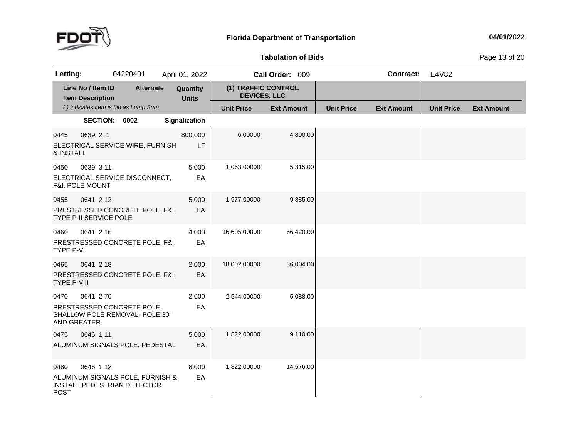

## **Tabulation**

**of Bids** Page <sup>13</sup> of <sup>20</sup>

| Letting:                   |                                              | 04220401                                                        | April 01, 2022           |               |                                            | Call Order: 009   |                   | <b>Contract:</b>  | E4V82             |                   |
|----------------------------|----------------------------------------------|-----------------------------------------------------------------|--------------------------|---------------|--------------------------------------------|-------------------|-------------------|-------------------|-------------------|-------------------|
|                            | Line No / Item ID<br><b>Item Description</b> | <b>Alternate</b>                                                | Quantity<br><b>Units</b> |               | (1) TRAFFIC CONTROL<br><b>DEVICES, LLC</b> |                   |                   |                   |                   |                   |
|                            |                                              | () indicates item is bid as Lump Sum                            |                          |               | <b>Unit Price</b>                          | <b>Ext Amount</b> | <b>Unit Price</b> | <b>Ext Amount</b> | <b>Unit Price</b> | <b>Ext Amount</b> |
|                            | SECTION: 0002                                |                                                                 | Signalization            |               |                                            |                   |                   |                   |                   |                   |
| 0445<br>& INSTALL          | 0639 2 1                                     | ELECTRICAL SERVICE WIRE, FURNISH                                |                          | 800.000<br>LF | 6.00000                                    | 4,800.00          |                   |                   |                   |                   |
| 0450                       | 0639 3 11<br>F&I, POLE MOUNT                 | ELECTRICAL SERVICE DISCONNECT,                                  |                          | 5.000<br>EA   | 1,063.00000                                | 5,315.00          |                   |                   |                   |                   |
| 0455                       | 0641 2 12<br>TYPE P-II SERVICE POLE          | PRESTRESSED CONCRETE POLE, F&I,                                 |                          | 5.000<br>EA   | 1,977.00000                                | 9,885.00          |                   |                   |                   |                   |
| 0460<br>TYPE P-VI          | 0641 2 16                                    | PRESTRESSED CONCRETE POLE, F&I,                                 |                          | 4.000<br>EA   | 16,605.00000                               | 66,420.00         |                   |                   |                   |                   |
| 0465<br><b>TYPE P-VIII</b> | 0641 2 18                                    | PRESTRESSED CONCRETE POLE, F&I,                                 |                          | 2.000<br>EA   | 18,002.00000                               | 36,004.00         |                   |                   |                   |                   |
| 0470<br>AND GREATER        | 0641 270                                     | PRESTRESSED CONCRETE POLE,<br>SHALLOW POLE REMOVAL- POLE 30'    |                          | 2.000<br>EA   | 2,544.00000                                | 5,088.00          |                   |                   |                   |                   |
| 0475                       | 0646 1 11                                    | ALUMINUM SIGNALS POLE, PEDESTAL                                 |                          | 5.000<br>EA   | 1,822.00000                                | 9,110.00          |                   |                   |                   |                   |
| 0480<br><b>POST</b>        | 0646 1 12                                    | ALUMINUM SIGNALS POLE, FURNISH &<br>INSTALL PEDESTRIAN DETECTOR |                          | 8.000<br>EA   | 1,822.00000                                | 14,576.00         |                   |                   |                   |                   |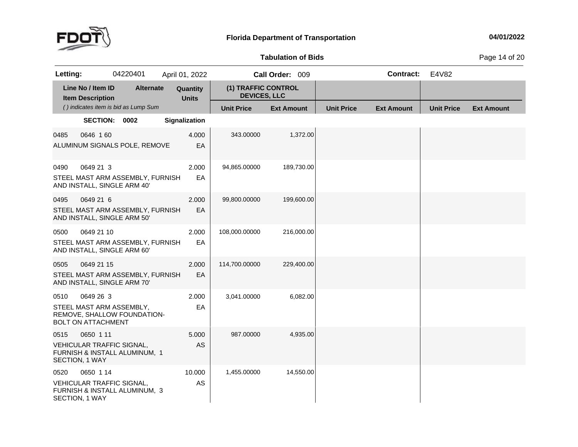

## **Tabulation**

**of Bids** Page <sup>14</sup> of <sup>20</sup>

| Letting: |                                              | 04220401                                                          | April 01, 2022           |                                            | Call Order: 009   |                   | <b>Contract:</b>  | E4V82             |                   |
|----------|----------------------------------------------|-------------------------------------------------------------------|--------------------------|--------------------------------------------|-------------------|-------------------|-------------------|-------------------|-------------------|
|          | Line No / Item ID<br><b>Item Description</b> | <b>Alternate</b>                                                  | Quantity<br><b>Units</b> | (1) TRAFFIC CONTROL<br><b>DEVICES, LLC</b> |                   |                   |                   |                   |                   |
|          |                                              | () indicates item is bid as Lump Sum                              |                          | <b>Unit Price</b>                          | <b>Ext Amount</b> | <b>Unit Price</b> | <b>Ext Amount</b> | <b>Unit Price</b> | <b>Ext Amount</b> |
|          | SECTION: 0002                                |                                                                   | Signalization            |                                            |                   |                   |                   |                   |                   |
| 0485     | 0646 160                                     | ALUMINUM SIGNALS POLE, REMOVE                                     | 4.000<br>EA              | 343.00000                                  | 1,372.00          |                   |                   |                   |                   |
| 0490     | 0649 21 3                                    | STEEL MAST ARM ASSEMBLY, FURNISH<br>AND INSTALL, SINGLE ARM 40'   | 2.000<br>EA              | 94,865.00000                               | 189,730.00        |                   |                   |                   |                   |
| 0495     | 0649 21 6                                    | STEEL MAST ARM ASSEMBLY, FURNISH<br>AND INSTALL, SINGLE ARM 50'   | 2.000<br>EA              | 99,800.00000                               | 199,600.00        |                   |                   |                   |                   |
| 0500     | 0649 21 10                                   | STEEL MAST ARM ASSEMBLY, FURNISH<br>AND INSTALL, SINGLE ARM 60'   | 2.000<br>EA              | 108,000.00000                              | 216,000.00        |                   |                   |                   |                   |
| 0505     | 0649 21 15                                   | STEEL MAST ARM ASSEMBLY, FURNISH<br>AND INSTALL, SINGLE ARM 70'   | 2.000<br>EA              | 114,700.00000                              | 229,400.00        |                   |                   |                   |                   |
| 0510     | 0649 26 3<br><b>BOLT ON ATTACHMENT</b>       | STEEL MAST ARM ASSEMBLY,<br>REMOVE, SHALLOW FOUNDATION-           | 2.000<br>EA              | 3,041.00000                                | 6,082.00          |                   |                   |                   |                   |
| 0515     | 0650 1 11<br>SECTION, 1 WAY                  | <b>VEHICULAR TRAFFIC SIGNAL,</b><br>FURNISH & INSTALL ALUMINUM, 1 | 5.000<br>AS              | 987.00000                                  | 4,935.00          |                   |                   |                   |                   |
| 0520     | 0650 1 14<br>SECTION, 1 WAY                  | VEHICULAR TRAFFIC SIGNAL,<br>FURNISH & INSTALL ALUMINUM, 3        | 10.000<br>AS             | 1,455.00000                                | 14,550.00         |                   |                   |                   |                   |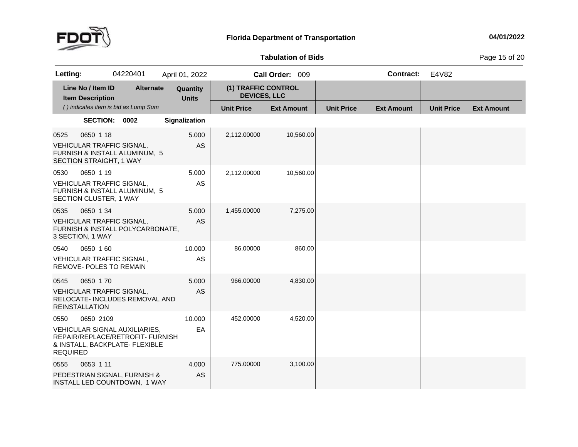

## **Tabulation**

**of Bids** Page <sup>15</sup> of <sup>20</sup>

| Letting:                |                                                                         | 04220401                                                                                            | April 01, 2022           |                                            | Call Order: 009   |                   | <b>Contract:</b>  | E4V82             |                   |
|-------------------------|-------------------------------------------------------------------------|-----------------------------------------------------------------------------------------------------|--------------------------|--------------------------------------------|-------------------|-------------------|-------------------|-------------------|-------------------|
|                         | Line No / Item ID<br><b>Item Description</b>                            | <b>Alternate</b>                                                                                    | Quantity<br><b>Units</b> | (1) TRAFFIC CONTROL<br><b>DEVICES, LLC</b> |                   |                   |                   |                   |                   |
|                         |                                                                         | () indicates item is bid as Lump Sum                                                                |                          | <b>Unit Price</b>                          | <b>Ext Amount</b> | <b>Unit Price</b> | <b>Ext Amount</b> | <b>Unit Price</b> | <b>Ext Amount</b> |
|                         | SECTION: 0002                                                           |                                                                                                     | Signalization            |                                            |                   |                   |                   |                   |                   |
| 0525                    | 0650 1 18<br>VEHICULAR TRAFFIC SIGNAL,<br>SECTION STRAIGHT, 1 WAY       | FURNISH & INSTALL ALUMINUM, 5                                                                       | 5.000<br>AS              | 2,112.00000                                | 10,560.00         |                   |                   |                   |                   |
| 0530                    | 0650 1 19<br><b>VEHICULAR TRAFFIC SIGNAL,</b><br>SECTION CLUSTER, 1 WAY | FURNISH & INSTALL ALUMINUM, 5                                                                       | 5.000<br>AS              | 2,112.00000                                | 10,560.00         |                   |                   |                   |                   |
| 0535                    | 0650 1 34<br>VEHICULAR TRAFFIC SIGNAL,<br>3 SECTION, 1 WAY              | FURNISH & INSTALL POLYCARBONATE,                                                                    | 5.000<br><b>AS</b>       | 1,455.00000                                | 7,275.00          |                   |                   |                   |                   |
| 0540                    | 0650 160<br><b>VEHICULAR TRAFFIC SIGNAL,</b><br>REMOVE- POLES TO REMAIN |                                                                                                     | 10.000<br>AS             | 86.00000                                   | 860.00            |                   |                   |                   |                   |
| 0545                    | 0650 170<br><b>VEHICULAR TRAFFIC SIGNAL,</b><br><b>REINSTALLATION</b>   | RELOCATE- INCLUDES REMOVAL AND                                                                      | 5.000<br><b>AS</b>       | 966.00000                                  | 4,830.00          |                   |                   |                   |                   |
| 0550<br><b>REQUIRED</b> | 0650 2109                                                               | VEHICULAR SIGNAL AUXILIARIES,<br>REPAIR/REPLACE/RETROFIT- FURNISH<br>& INSTALL, BACKPLATE- FLEXIBLE | 10.000<br>EA             | 452.00000                                  | 4,520.00          |                   |                   |                   |                   |
| 0555                    | 0653 1 11                                                               | PEDESTRIAN SIGNAL, FURNISH &<br>INSTALL LED COUNTDOWN, 1 WAY                                        | 4.000<br>AS              | 775.00000                                  | 3,100.00          |                   |                   |                   |                   |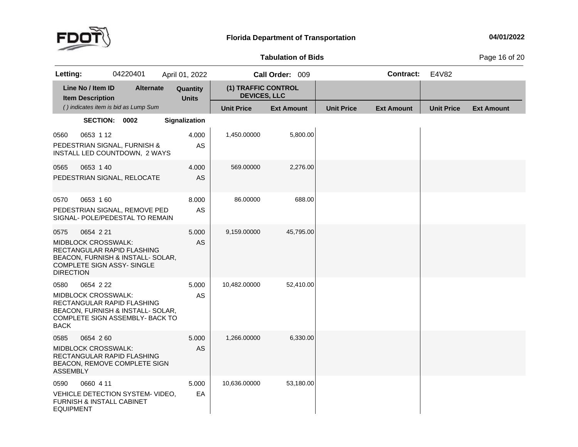

## **Tabulation**

**of Bids** Page <sup>16</sup> of <sup>20</sup>

| Letting:                 |                                                                                                                                          | 04220401 |                  | April 01, 2022           |                                            | Call Order: 009   |           |                   | <b>Contract:</b>  | E4V82             |                   |
|--------------------------|------------------------------------------------------------------------------------------------------------------------------------------|----------|------------------|--------------------------|--------------------------------------------|-------------------|-----------|-------------------|-------------------|-------------------|-------------------|
|                          | Line No / Item ID<br><b>Item Description</b>                                                                                             |          | <b>Alternate</b> | Quantity<br><b>Units</b> | (1) TRAFFIC CONTROL<br><b>DEVICES, LLC</b> |                   |           |                   |                   |                   |                   |
|                          | () indicates item is bid as Lump Sum                                                                                                     |          |                  |                          | <b>Unit Price</b>                          | <b>Ext Amount</b> |           | <b>Unit Price</b> | <b>Ext Amount</b> | <b>Unit Price</b> | <b>Ext Amount</b> |
|                          | SECTION: 0002                                                                                                                            |          |                  | Signalization            |                                            |                   |           |                   |                   |                   |                   |
| 0560                     | 0653 1 12<br>PEDESTRIAN SIGNAL, FURNISH &<br>INSTALL LED COUNTDOWN, 2 WAYS                                                               |          |                  | 4.000<br>AS              | 1,450.00000                                |                   | 5,800.00  |                   |                   |                   |                   |
| 0565                     | 0653 1 40<br>PEDESTRIAN SIGNAL, RELOCATE                                                                                                 |          |                  | 4.000<br>AS              | 569.00000                                  |                   | 2,276.00  |                   |                   |                   |                   |
| 0570                     | 0653 160<br>PEDESTRIAN SIGNAL, REMOVE PED<br>SIGNAL- POLE/PEDESTAL TO REMAIN                                                             |          |                  | 8.000<br>AS              | 86.00000                                   |                   | 688.00    |                   |                   |                   |                   |
| 0575<br><b>DIRECTION</b> | 0654 2 21<br>MIDBLOCK CROSSWALK:<br>RECTANGULAR RAPID FLASHING<br>BEACON, FURNISH & INSTALL- SOLAR,<br><b>COMPLETE SIGN ASSY- SINGLE</b> |          |                  | 5.000<br>AS              | 9,159.00000                                |                   | 45,795.00 |                   |                   |                   |                   |
| 0580<br><b>BACK</b>      | 0654 2 22<br>MIDBLOCK CROSSWALK:<br>RECTANGULAR RAPID FLASHING<br>BEACON, FURNISH & INSTALL- SOLAR,<br>COMPLETE SIGN ASSEMBLY- BACK TO   |          |                  | 5.000<br>AS              | 10,482.00000                               |                   | 52,410.00 |                   |                   |                   |                   |
| 0585<br><b>ASSEMBLY</b>  | 0654 260<br>MIDBLOCK CROSSWALK:<br>RECTANGULAR RAPID FLASHING<br>BEACON, REMOVE COMPLETE SIGN                                            |          |                  | 5.000<br><b>AS</b>       | 1,266.00000                                |                   | 6,330.00  |                   |                   |                   |                   |
| 0590<br><b>EQUIPMENT</b> | 0660 4 11<br>VEHICLE DETECTION SYSTEM- VIDEO,<br>FURNISH & INSTALL CABINET                                                               |          |                  | 5.000<br>EA              | 10,636.00000                               |                   | 53,180.00 |                   |                   |                   |                   |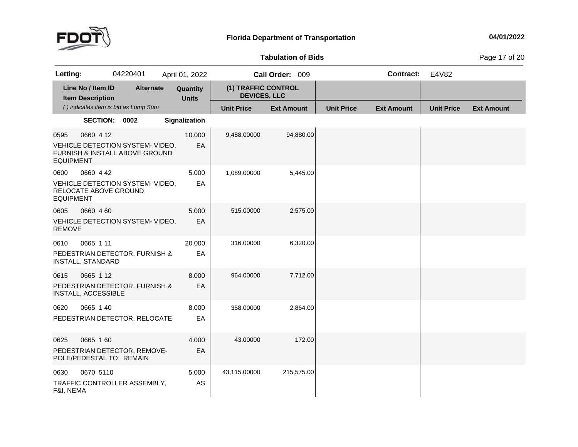

#### **Tabulation**

**of Bids** Page <sup>17</sup> of <sup>20</sup>

| Letting:                 |                                              | 04220401                                                           | April 01, 2022           |                                            | Call Order: 009   |                   | <b>Contract:</b>  | E4V82             |                   |
|--------------------------|----------------------------------------------|--------------------------------------------------------------------|--------------------------|--------------------------------------------|-------------------|-------------------|-------------------|-------------------|-------------------|
|                          | Line No / Item ID<br><b>Item Description</b> | <b>Alternate</b>                                                   | Quantity<br><b>Units</b> | (1) TRAFFIC CONTROL<br><b>DEVICES, LLC</b> |                   |                   |                   |                   |                   |
|                          |                                              | () indicates item is bid as Lump Sum                               |                          | <b>Unit Price</b>                          | <b>Ext Amount</b> | <b>Unit Price</b> | <b>Ext Amount</b> | <b>Unit Price</b> | <b>Ext Amount</b> |
|                          | SECTION: 0002                                |                                                                    | Signalization            |                                            |                   |                   |                   |                   |                   |
| 0595<br><b>EQUIPMENT</b> | 0660 4 12                                    | VEHICLE DETECTION SYSTEM- VIDEO,<br>FURNISH & INSTALL ABOVE GROUND | 10.000<br>EA             | 9,488.00000                                | 94,880.00         |                   |                   |                   |                   |
| 0600<br><b>EQUIPMENT</b> | 0660 4 42<br>RELOCATE ABOVE GROUND           | VEHICLE DETECTION SYSTEM- VIDEO,                                   | 5.000<br>EA              | 1,089.00000                                | 5,445.00          |                   |                   |                   |                   |
| 0605<br><b>REMOVE</b>    | 0660 4 60                                    | VEHICLE DETECTION SYSTEM- VIDEO,                                   | 5.000<br>EA              | 515.00000                                  | 2,575.00          |                   |                   |                   |                   |
| 0610                     | 0665 1 11<br><b>INSTALL, STANDARD</b>        | PEDESTRIAN DETECTOR, FURNISH &                                     | 20.000<br>EA             | 316.00000                                  | 6,320.00          |                   |                   |                   |                   |
| 0615                     | 0665 112<br>INSTALL, ACCESSIBLE              | PEDESTRIAN DETECTOR, FURNISH &                                     | 8.000<br>EA              | 964.00000                                  | 7,712.00          |                   |                   |                   |                   |
| 0620                     | 0665 1 40                                    | PEDESTRIAN DETECTOR, RELOCATE                                      | 8.000<br>EA              | 358.00000                                  | 2,864.00          |                   |                   |                   |                   |
| 0625                     | 0665 160<br>POLE/PEDESTAL TO REMAIN          | PEDESTRIAN DETECTOR, REMOVE-                                       | 4.000<br>EA              | 43.00000                                   | 172.00            |                   |                   |                   |                   |
| 0630<br>F&I, NEMA        | 0670 5110                                    | TRAFFIC CONTROLLER ASSEMBLY,                                       | 5.000<br>AS              | 43,115.00000                               | 215,575.00        |                   |                   |                   |                   |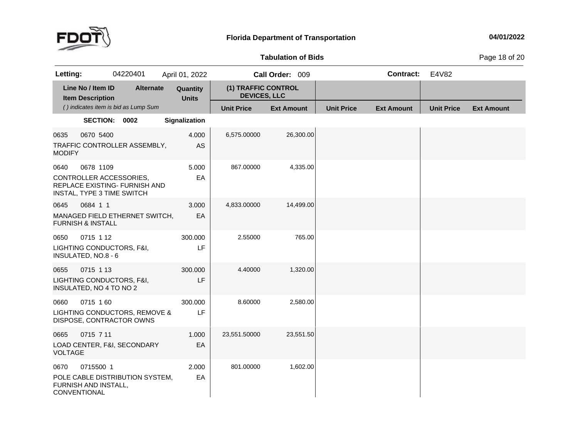

#### **Tabulation**

**of Bids** Page <sup>18</sup> of <sup>20</sup>

| Letting:               |                                                                    | 04220401                             | April 01, 2022           |                                            | Call Order: 009   |                   | <b>Contract:</b>  | E4V82             |                   |
|------------------------|--------------------------------------------------------------------|--------------------------------------|--------------------------|--------------------------------------------|-------------------|-------------------|-------------------|-------------------|-------------------|
|                        | Line No / Item ID<br><b>Item Description</b>                       | <b>Alternate</b>                     | Quantity<br><b>Units</b> | (1) TRAFFIC CONTROL<br><b>DEVICES, LLC</b> |                   |                   |                   |                   |                   |
|                        |                                                                    | () indicates item is bid as Lump Sum |                          | <b>Unit Price</b>                          | <b>Ext Amount</b> | <b>Unit Price</b> | <b>Ext Amount</b> | <b>Unit Price</b> | <b>Ext Amount</b> |
|                        | SECTION: 0002                                                      |                                      | Signalization            |                                            |                   |                   |                   |                   |                   |
| 0635<br><b>MODIFY</b>  | 0670 5400                                                          | TRAFFIC CONTROLLER ASSEMBLY,         | 4.000<br>AS              | 6,575.00000                                | 26,300.00         |                   |                   |                   |                   |
| 0640                   | 0678 1109<br>CONTROLLER ACCESSORIES,<br>INSTAL, TYPE 3 TIME SWITCH | REPLACE EXISTING- FURNISH AND        | 5.000<br>EA              | 867.00000                                  | 4,335.00          |                   |                   |                   |                   |
| 0645                   | 0684 1 1<br><b>FURNISH &amp; INSTALL</b>                           | MANAGED FIELD ETHERNET SWITCH,       | 3.000<br>EA              | 4,833.00000                                | 14,499.00         |                   |                   |                   |                   |
| 0650                   | 0715 1 12<br>LIGHTING CONDUCTORS, F&I,<br>INSULATED, NO.8 - 6      |                                      | 300.000<br>LF            | 2.55000                                    | 765.00            |                   |                   |                   |                   |
| 0655                   | 0715 1 13<br>LIGHTING CONDUCTORS, F&I,<br>INSULATED, NO 4 TO NO 2  |                                      | 300.000<br>LF            | 4.40000                                    | 1,320.00          |                   |                   |                   |                   |
| 0660                   | 0715 160<br>DISPOSE, CONTRACTOR OWNS                               | LIGHTING CONDUCTORS, REMOVE &        | 300.000<br>LF            | 8.60000                                    | 2,580.00          |                   |                   |                   |                   |
| 0665<br><b>VOLTAGE</b> | 0715 7 11                                                          | LOAD CENTER, F&I, SECONDARY          | 1.000<br>EA              | 23,551.50000                               | 23,551.50         |                   |                   |                   |                   |
| 0670                   | 0715500 1<br>FURNISH AND INSTALL,<br>CONVENTIONAL                  | POLE CABLE DISTRIBUTION SYSTEM,      | 2.000<br>EA              | 801.00000                                  | 1,602.00          |                   |                   |                   |                   |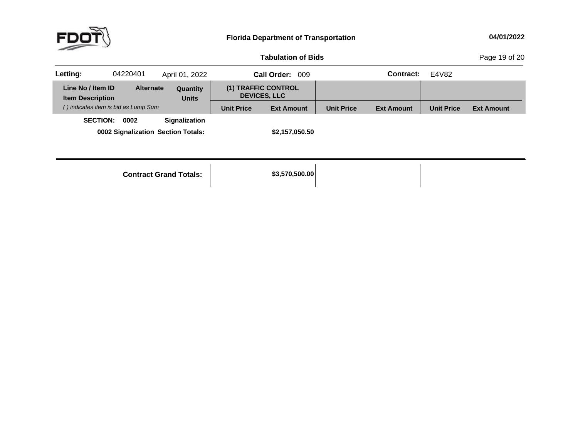**of Bids** Page <sup>19</sup> of <sup>20</sup>

| Letting:                                     | 04220401                                   | April 01, 2022           |                   | Call Order: 009                            |                   | Contract:         | E4V82             |                   |
|----------------------------------------------|--------------------------------------------|--------------------------|-------------------|--------------------------------------------|-------------------|-------------------|-------------------|-------------------|
| Line No / Item ID<br><b>Item Description</b> | <b>Alternate</b>                           | Quantity<br><b>Units</b> |                   | (1) TRAFFIC CONTROL<br><b>DEVICES, LLC</b> |                   |                   |                   |                   |
|                                              | () indicates item is bid as Lump Sum       |                          | <b>Unit Price</b> | <b>Ext Amount</b>                          | <b>Unit Price</b> | <b>Ext Amount</b> | <b>Unit Price</b> | <b>Ext Amount</b> |
| <b>SECTION:</b>                              | 0002<br>0002 Signalization Section Totals: | <b>Signalization</b>     |                   | \$2,157,050.50                             |                   |                   |                   |                   |

**Contract Grand**

**Totals: \$3,570,500.00**